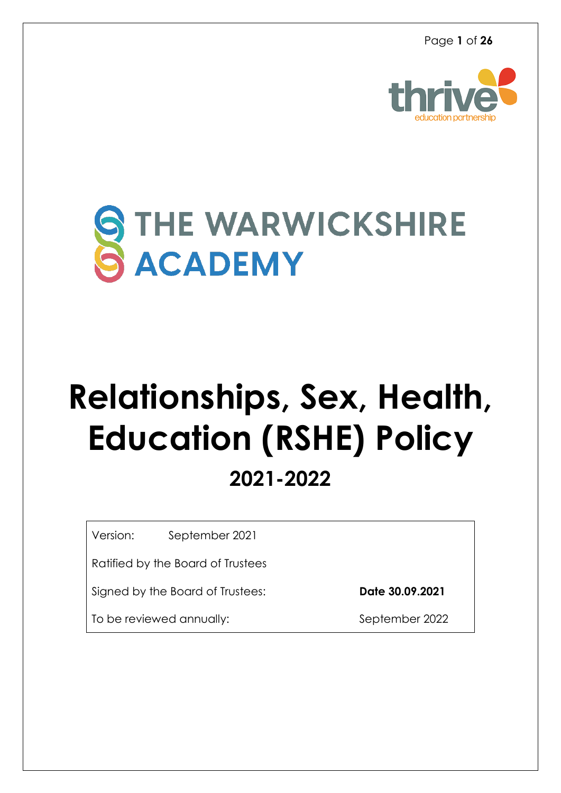Page **1** of **26**



# THE WARWICKSHIRE

## **Relationships, Sex, Health, Education (RSHE) Policy**

### **2021-2022**

Version: September 2021

Ratified by the Board of Trustees

Signed by the Board of Trustees:**Date 30.09.2021**

To be reviewed annually: September 2022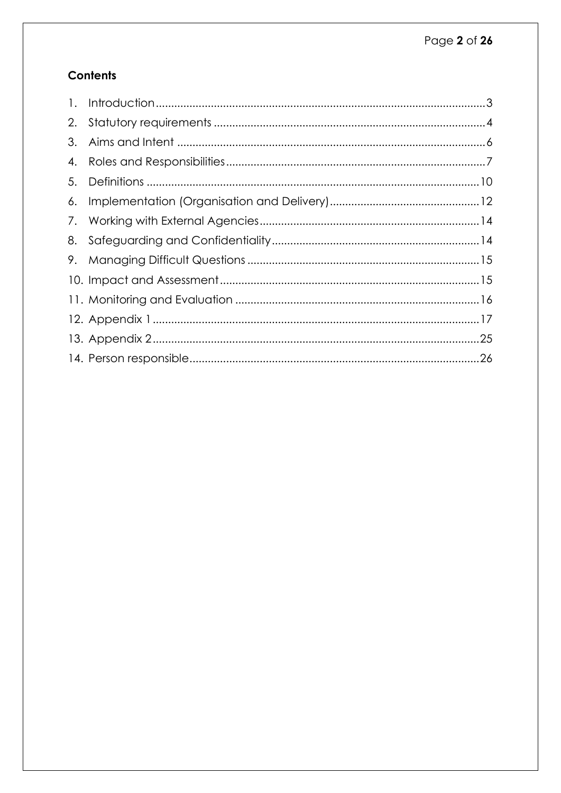#### **Contents**

| $\mathbf{1}$ . |  |
|----------------|--|
| 2.             |  |
| 3.             |  |
| 4.             |  |
| 5.             |  |
| 6.             |  |
| 7.             |  |
| 8.             |  |
| 9.             |  |
|                |  |
|                |  |
|                |  |
|                |  |
|                |  |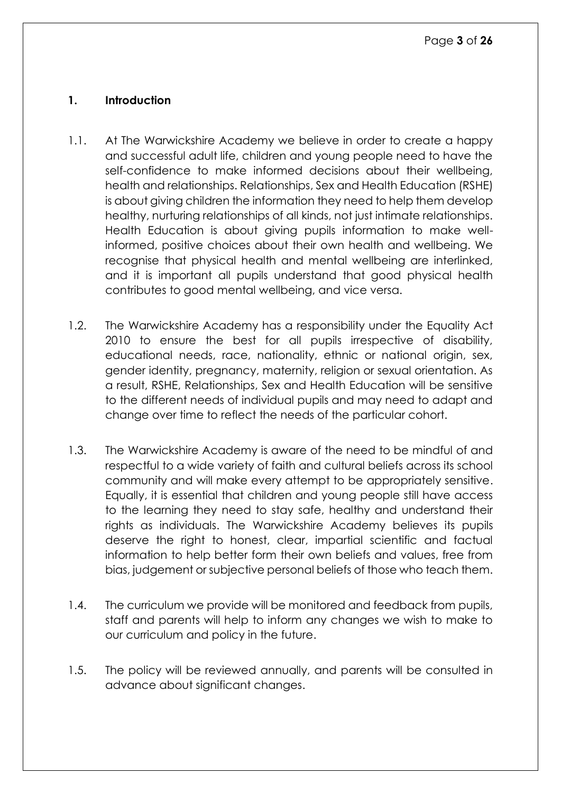#### <span id="page-2-0"></span>**1. Introduction**

- 1.1. At The Warwickshire Academy we believe in order to create a happy and successful adult life, children and young people need to have the self-confidence to make informed decisions about their wellbeing, health and relationships. Relationships, Sex and Health Education (RSHE) is about giving children the information they need to help them develop healthy, nurturing relationships of all kinds, not just intimate relationships. Health Education is about giving pupils information to make wellinformed, positive choices about their own health and wellbeing. We recognise that physical health and mental wellbeing are interlinked, and it is important all pupils understand that good physical health contributes to good mental wellbeing, and vice versa.
- 1.2. The Warwickshire Academy has a responsibility under the Equality Act 2010 to ensure the best for all pupils irrespective of disability, educational needs, race, nationality, ethnic or national origin, sex, gender identity, pregnancy, maternity, religion or sexual orientation. As a result, RSHE, Relationships, Sex and Health Education will be sensitive to the different needs of individual pupils and may need to adapt and change over time to reflect the needs of the particular cohort.
- 1.3. The Warwickshire Academy is aware of the need to be mindful of and respectful to a wide variety of faith and cultural beliefs across its school community and will make every attempt to be appropriately sensitive. Equally, it is essential that children and young people still have access to the learning they need to stay safe, healthy and understand their rights as individuals. The Warwickshire Academy believes its pupils deserve the right to honest, clear, impartial scientific and factual information to help better form their own beliefs and values, free from bias, judgement or subjective personal beliefs of those who teach them.
- 1.4. The curriculum we provide will be monitored and feedback from pupils, staff and parents will help to inform any changes we wish to make to our curriculum and policy in the future.
- 1.5. The policy will be reviewed annually, and parents will be consulted in advance about significant changes.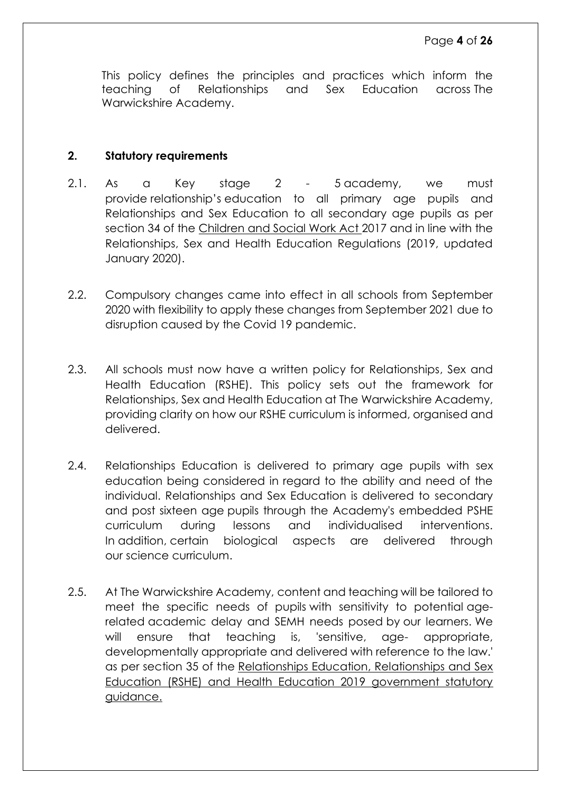This policy defines the principles and practices which inform the teaching of Relationships and Sex Education across The Warwickshire Academy.

#### <span id="page-3-0"></span>**2. Statutory requirements**

- 2.1. As a Key stage 2 5 academy, we must provide relationship's education to all primary age pupils and Relationships and Sex Education to all secondary age pupils as per section 34 of the Children and Social Work Act 2017 and in line with the Relationships, Sex and Health Education Regulations (2019, updated January 2020).
- 2.2. Compulsory changes came into effect in all schools from September 2020 with flexibility to apply these changes from September 2021 due to disruption caused by the Covid 19 pandemic.
- 2.3. All schools must now have a written policy for Relationships, Sex and Health Education (RSHE). This policy sets out the framework for Relationships, Sex and Health Education at The Warwickshire Academy, providing clarity on how our RSHE curriculum is informed, organised and delivered.
- 2.4. Relationships Education is delivered to primary age pupils with sex education being considered in regard to the ability and need of the individual. Relationships and Sex Education is delivered to secondary and post sixteen age pupils through the Academy's embedded PSHE curriculum during lessons and individualised interventions. In addition, certain biological aspects are delivered through our science curriculum.
- 2.5. At The Warwickshire Academy, content and teaching will be tailored to meet the specific needs of pupils with sensitivity to potential agerelated academic delay and SEMH needs posed by our learners. We will ensure that teaching is, 'sensitive, age- appropriate, developmentally appropriate and delivered with reference to the law.' as per section 35 of the Relationships Education, Relationships and Sex Education (RSHE) and Health Education 2019 government statutory guidance.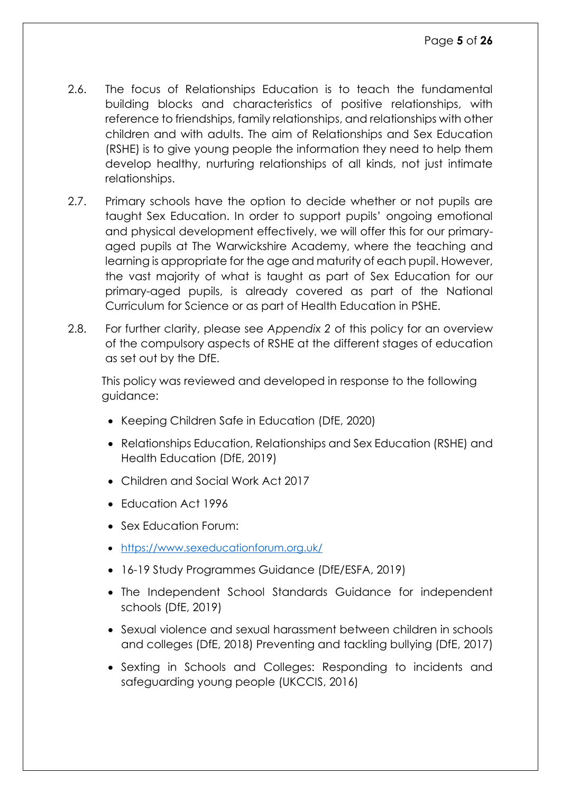- 2.6. The focus of Relationships Education is to teach the fundamental building blocks and characteristics of positive relationships, with reference to friendships, family relationships, and relationships with other children and with adults. The aim of Relationships and Sex Education (RSHE) is to give young people the information they need to help them develop healthy, nurturing relationships of all kinds, not just intimate relationships.
- 2.7. Primary schools have the option to decide whether or not pupils are taught Sex Education. In order to support pupils' ongoing emotional and physical development effectively, we will offer this for our primaryaged pupils at The Warwickshire Academy, where the teaching and learning is appropriate for the age and maturity of each pupil. However, the vast majority of what is taught as part of Sex Education for our primary-aged pupils, is already covered as part of the National Curriculum for Science or as part of Health Education in PSHE.
- 2.8. For further clarity, please see *Appendix 2* of this policy for an overview of the compulsory aspects of RSHE at the different stages of education as set out by the DfE.

This policy was reviewed and developed in response to the following guidance:

- Keeping Children Safe in Education (DfE, 2020)
- Relationships Education, Relationships and Sex Education (RSHE) and Health Education (DfE, 2019)
- Children and Social Work Act 2017
- Education Act 1996
- Sex Education Forum:
- <https://www.sexeducationforum.org.uk/>
- 16-19 Study Programmes Guidance (DfE/ESFA, 2019)
- The Independent School Standards Guidance for independent schools (DfE, 2019)
- Sexual violence and sexual harassment between children in schools and colleges (DfE, 2018) Preventing and tackling bullying (DfE, 2017)
- Sexting in Schools and Colleges: Responding to incidents and safeguarding young people (UKCCIS, 2016)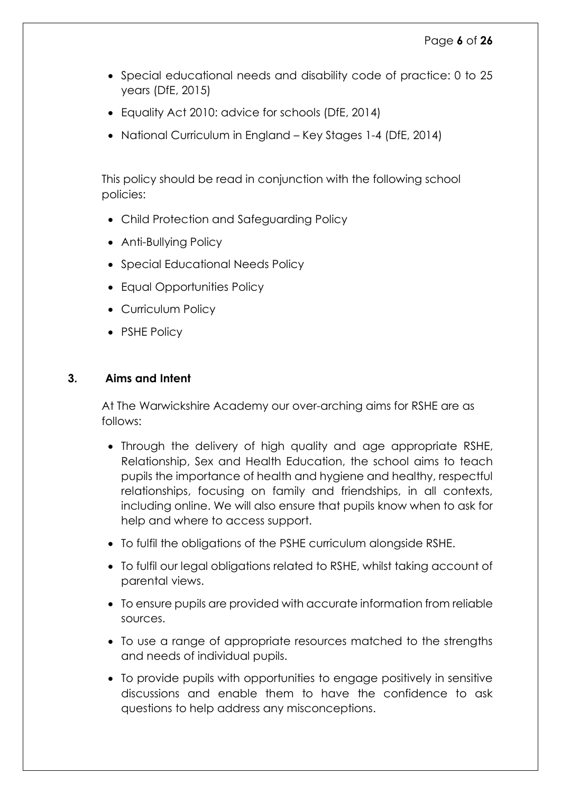- Special educational needs and disability code of practice: 0 to 25 years (DfE, 2015)
- Equality Act 2010: advice for schools (DfE, 2014)
- National Curriculum in England Key Stages 1-4 (DfE, 2014)

This policy should be read in conjunction with the following school policies:

- Child Protection and Safeguarding Policy
- Anti-Bullying Policy
- Special Educational Needs Policy
- Equal Opportunities Policy
- Curriculum Policy
- PSHE Policy

#### <span id="page-5-0"></span>**3. Aims and Intent**

At The Warwickshire Academy our over-arching aims for RSHE are as follows:

- Through the delivery of high quality and age appropriate RSHE, Relationship, Sex and Health Education, the school aims to teach pupils the importance of health and hygiene and healthy, respectful relationships, focusing on family and friendships, in all contexts, including online. We will also ensure that pupils know when to ask for help and where to access support.
- To fulfil the obligations of the PSHE curriculum alongside RSHE.
- To fulfil our legal obligations related to RSHE, whilst taking account of parental views.
- To ensure pupils are provided with accurate information from reliable sources.
- To use a range of appropriate resources matched to the strengths and needs of individual pupils.
- To provide pupils with opportunities to engage positively in sensitive discussions and enable them to have the confidence to ask questions to help address any misconceptions.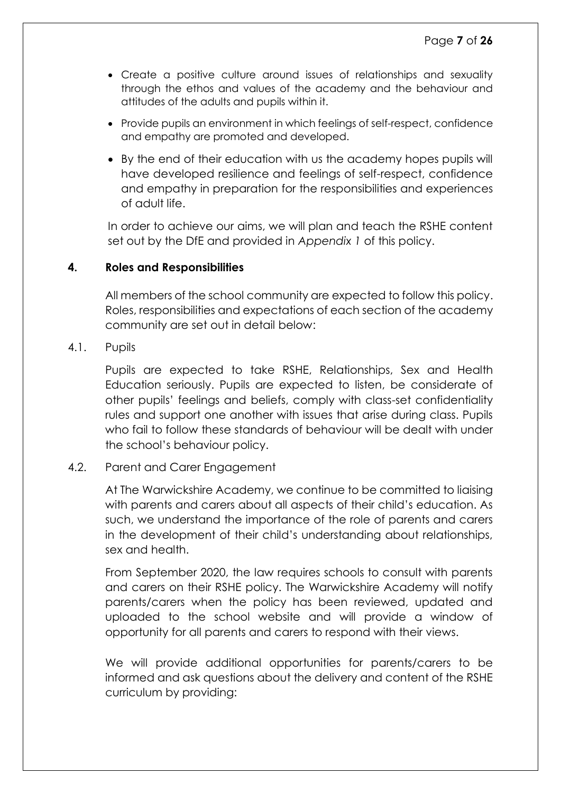- Create a positive culture around issues of relationships and sexuality through the ethos and values of the academy and the behaviour and attitudes of the adults and pupils within it.
- Provide pupils an environment in which feelings of self-respect, confidence and empathy are promoted and developed.
- By the end of their education with us the academy hopes pupils will have developed resilience and feelings of self-respect, confidence and empathy in preparation for the responsibilities and experiences of adult life.

In order to achieve our aims, we will plan and teach the RSHE content set out by the DfE and provided in *Appendix 1* of this policy.

#### <span id="page-6-0"></span>**4. Roles and Responsibilities**

All members of the school community are expected to follow this policy. Roles, responsibilities and expectations of each section of the academy community are set out in detail below:

#### 4.1. Pupils

Pupils are expected to take RSHE, Relationships, Sex and Health Education seriously. Pupils are expected to listen, be considerate of other pupils' feelings and beliefs, comply with class-set confidentiality rules and support one another with issues that arise during class. Pupils who fail to follow these standards of behaviour will be dealt with under the school's behaviour policy.

#### 4.2. Parent and Carer Engagement

At The Warwickshire Academy, we continue to be committed to liaising with parents and carers about all aspects of their child's education. As such, we understand the importance of the role of parents and carers in the development of their child's understanding about relationships, sex and health.

From September 2020, the law requires schools to consult with parents and carers on their RSHE policy. The Warwickshire Academy will notify parents/carers when the policy has been reviewed, updated and uploaded to the school website and will provide a window of opportunity for all parents and carers to respond with their views.

We will provide additional opportunities for parents/carers to be informed and ask questions about the delivery and content of the RSHE curriculum by providing: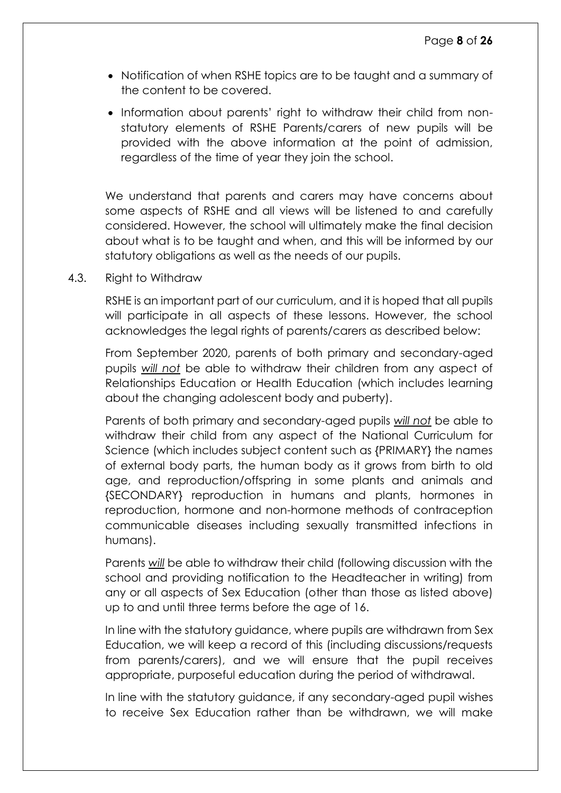- Notification of when RSHE topics are to be taught and a summary of the content to be covered.
- Information about parents' right to withdraw their child from nonstatutory elements of RSHE Parents/carers of new pupils will be provided with the above information at the point of admission, regardless of the time of year they join the school.

We understand that parents and carers may have concerns about some aspects of RSHE and all views will be listened to and carefully considered. However, the school will ultimately make the final decision about what is to be taught and when, and this will be informed by our statutory obligations as well as the needs of our pupils.

4.3. Right to Withdraw

RSHE is an important part of our curriculum, and it is hoped that all pupils will participate in all aspects of these lessons. However, the school acknowledges the legal rights of parents/carers as described below:

From September 2020, parents of both primary and secondary-aged pupils *will not* be able to withdraw their children from any aspect of Relationships Education or Health Education (which includes learning about the changing adolescent body and puberty).

Parents of both primary and secondary-aged pupils *will not* be able to withdraw their child from any aspect of the National Curriculum for Science (which includes subject content such as {PRIMARY} the names of external body parts, the human body as it grows from birth to old age, and reproduction/offspring in some plants and animals and {SECONDARY} reproduction in humans and plants, hormones in reproduction, hormone and non-hormone methods of contraception communicable diseases including sexually transmitted infections in humans).

Parents *will* be able to withdraw their child (following discussion with the school and providing notification to the Headteacher in writing) from any or all aspects of Sex Education (other than those as listed above) up to and until three terms before the age of 16.

In line with the statutory guidance, where pupils are withdrawn from Sex Education, we will keep a record of this (including discussions/requests from parents/carers), and we will ensure that the pupil receives appropriate, purposeful education during the period of withdrawal.

In line with the statutory guidance, if any secondary-aged pupil wishes to receive Sex Education rather than be withdrawn, we will make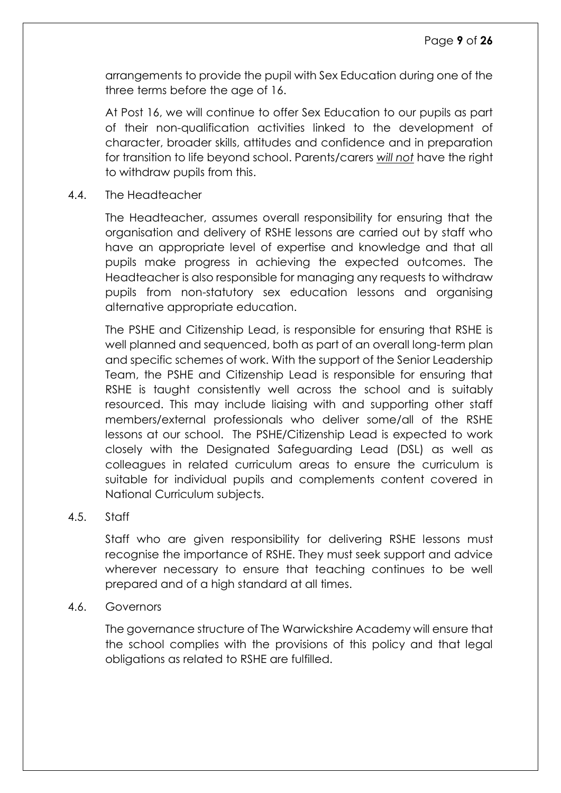arrangements to provide the pupil with Sex Education during one of the three terms before the age of 16.

At Post 16, we will continue to offer Sex Education to our pupils as part of their non-qualification activities linked to the development of character, broader skills, attitudes and confidence and in preparation for transition to life beyond school. Parents/carers *will not* have the right to withdraw pupils from this.

4.4. The Headteacher

The Headteacher, assumes overall responsibility for ensuring that the organisation and delivery of RSHE lessons are carried out by staff who have an appropriate level of expertise and knowledge and that all pupils make progress in achieving the expected outcomes. The Headteacher is also responsible for managing any requests to withdraw pupils from non-statutory sex education lessons and organising alternative appropriate education.

The PSHE and Citizenship Lead, is responsible for ensuring that RSHE is well planned and sequenced, both as part of an overall long-term plan and specific schemes of work. With the support of the Senior Leadership Team, the PSHE and Citizenship Lead is responsible for ensuring that RSHE is taught consistently well across the school and is suitably resourced. This may include liaising with and supporting other staff members/external professionals who deliver some/all of the RSHE lessons at our school. The PSHE/Citizenship Lead is expected to work closely with the Designated Safeguarding Lead (DSL) as well as colleagues in related curriculum areas to ensure the curriculum is suitable for individual pupils and complements content covered in National Curriculum subjects.

#### 4.5. Staff

Staff who are given responsibility for delivering RSHE lessons must recognise the importance of RSHE. They must seek support and advice wherever necessary to ensure that teaching continues to be well prepared and of a high standard at all times.

#### 4.6. Governors

The governance structure of The Warwickshire Academy will ensure that the school complies with the provisions of this policy and that legal obligations as related to RSHE are fulfilled.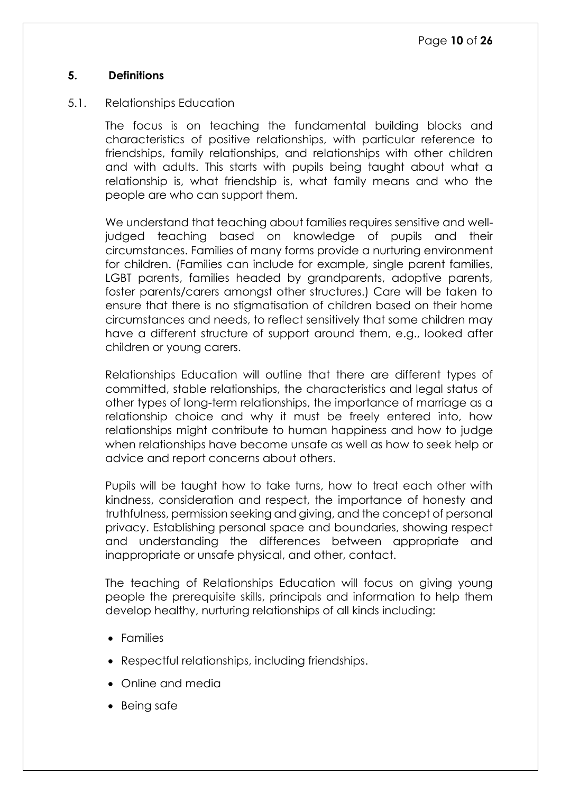#### <span id="page-9-0"></span>**5. Definitions**

#### 5.1. Relationships Education

The focus is on teaching the fundamental building blocks and characteristics of positive relationships, with particular reference to friendships, family relationships, and relationships with other children and with adults. This starts with pupils being taught about what a relationship is, what friendship is, what family means and who the people are who can support them.

We understand that teaching about families requires sensitive and welljudged teaching based on knowledge of pupils and their circumstances. Families of many forms provide a nurturing environment for children. (Families can include for example, single parent families, LGBT parents, families headed by grandparents, adoptive parents, foster parents/carers amongst other structures.) Care will be taken to ensure that there is no stigmatisation of children based on their home circumstances and needs, to reflect sensitively that some children may have a different structure of support around them, e.g., looked after children or young carers.

Relationships Education will outline that there are different types of committed, stable relationships, the characteristics and legal status of other types of long-term relationships, the importance of marriage as a relationship choice and why it must be freely entered into, how relationships might contribute to human happiness and how to judge when relationships have become unsafe as well as how to seek help or advice and report concerns about others.

Pupils will be taught how to take turns, how to treat each other with kindness, consideration and respect, the importance of honesty and truthfulness, permission seeking and giving, and the concept of personal privacy. Establishing personal space and boundaries, showing respect and understanding the differences between appropriate and inappropriate or unsafe physical, and other, contact.

The teaching of Relationships Education will focus on giving young people the prerequisite skills, principals and information to help them develop healthy, nurturing relationships of all kinds including:

- Families
- Respectful relationships, including friendships.
- Online and media
- Being safe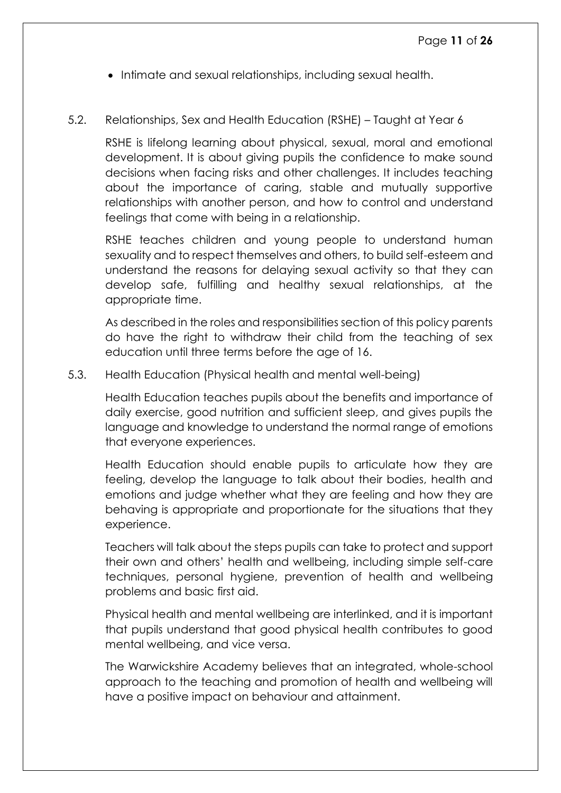• Intimate and sexual relationships, including sexual health.

#### 5.2. Relationships, Sex and Health Education (RSHE) – Taught at Year 6

RSHE is lifelong learning about physical, sexual, moral and emotional development. It is about giving pupils the confidence to make sound decisions when facing risks and other challenges. It includes teaching about the importance of caring, stable and mutually supportive relationships with another person, and how to control and understand feelings that come with being in a relationship.

RSHE teaches children and young people to understand human sexuality and to respect themselves and others, to build self-esteem and understand the reasons for delaying sexual activity so that they can develop safe, fulfilling and healthy sexual relationships, at the appropriate time.

As described in the roles and responsibilities section of this policy parents do have the right to withdraw their child from the teaching of sex education until three terms before the age of 16.

5.3. Health Education (Physical health and mental well-being)

Health Education teaches pupils about the benefits and importance of daily exercise, good nutrition and sufficient sleep, and gives pupils the language and knowledge to understand the normal range of emotions that everyone experiences.

Health Education should enable pupils to articulate how they are feeling, develop the language to talk about their bodies, health and emotions and judge whether what they are feeling and how they are behaving is appropriate and proportionate for the situations that they experience.

Teachers will talk about the steps pupils can take to protect and support their own and others' health and wellbeing, including simple self-care techniques, personal hygiene, prevention of health and wellbeing problems and basic first aid.

Physical health and mental wellbeing are interlinked, and it is important that pupils understand that good physical health contributes to good mental wellbeing, and vice versa.

The Warwickshire Academy believes that an integrated, whole-school approach to the teaching and promotion of health and wellbeing will have a positive impact on behaviour and attainment.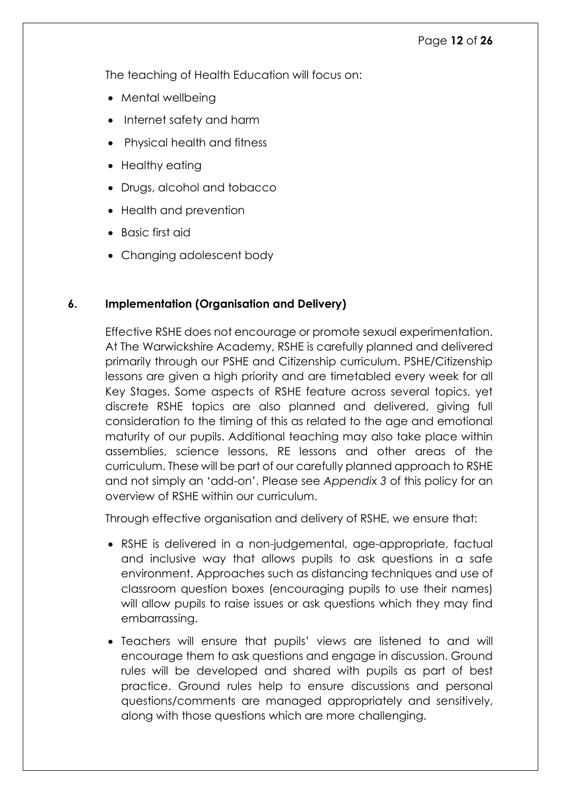The teaching of Health Education will focus on:

- Mental wellbeing
- Internet safety and harm
- Physical health and fitness
- Healthy eating
- Drugs, alcohol and tobacco
- Health and prevention
- Basic first aid
- Changing adolescent body

#### <span id="page-11-0"></span>**6. Implementation (Organisation and Delivery)**

Effective RSHE does not encourage or promote sexual experimentation. At The Warwickshire Academy, RSHE is carefully planned and delivered primarily through our PSHE and Citizenship curriculum. PSHE/Citizenship lessons are given a high priority and are timetabled every week for all Key Stages. Some aspects of RSHE feature across several topics, yet discrete RSHE topics are also planned and delivered, giving full consideration to the timing of this as related to the age and emotional maturity of our pupils. Additional teaching may also take place within assemblies, science lessons, RE lessons and other areas of the curriculum. These will be part of our carefully planned approach to RSHE and not simply an 'add-on'. Please see *Appendix 3* of this policy for an overview of RSHE within our curriculum.

Through effective organisation and delivery of RSHE, we ensure that:

- RSHE is delivered in a non-judgemental, age-appropriate, factual and inclusive way that allows pupils to ask questions in a safe environment. Approaches such as distancing techniques and use of classroom question boxes (encouraging pupils to use their names) will allow pupils to raise issues or ask questions which they may find embarrassing.
- Teachers will ensure that pupils' views are listened to and will encourage them to ask questions and engage in discussion. Ground rules will be developed and shared with pupils as part of best practice. Ground rules help to ensure discussions and personal questions/comments are managed appropriately and sensitively, along with those questions which are more challenging.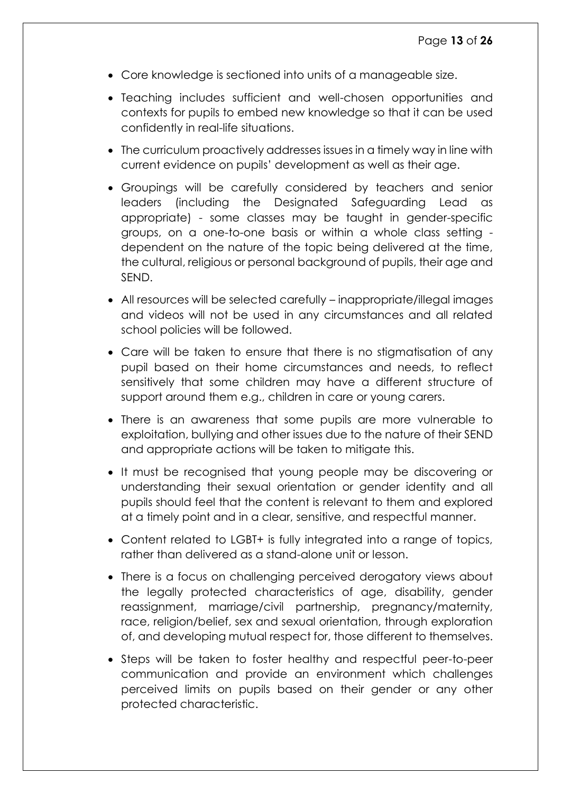- Core knowledge is sectioned into units of a manageable size.
- Teaching includes sufficient and well-chosen opportunities and contexts for pupils to embed new knowledge so that it can be used confidently in real-life situations.
- The curriculum proactively addresses issues in a timely way in line with current evidence on pupils' development as well as their age.
- Groupings will be carefully considered by teachers and senior leaders (including the Designated Safeguarding Lead as appropriate) - some classes may be taught in gender-specific groups, on a one-to-one basis or within a whole class setting dependent on the nature of the topic being delivered at the time, the cultural, religious or personal background of pupils, their age and SEND.
- All resources will be selected carefully inappropriate/illegal images and videos will not be used in any circumstances and all related school policies will be followed.
- Care will be taken to ensure that there is no stigmatisation of any pupil based on their home circumstances and needs, to reflect sensitively that some children may have a different structure of support around them e.g., children in care or young carers.
- There is an awareness that some pupils are more vulnerable to exploitation, bullying and other issues due to the nature of their SEND and appropriate actions will be taken to mitigate this.
- It must be recognised that young people may be discovering or understanding their sexual orientation or gender identity and all pupils should feel that the content is relevant to them and explored at a timely point and in a clear, sensitive, and respectful manner.
- Content related to LGBT+ is fully integrated into a range of topics, rather than delivered as a stand-alone unit or lesson.
- There is a focus on challenging perceived derogatory views about the legally protected characteristics of age, disability, gender reassignment, marriage/civil partnership, pregnancy/maternity, race, religion/belief, sex and sexual orientation, through exploration of, and developing mutual respect for, those different to themselves.
- Steps will be taken to foster healthy and respectful peer-to-peer communication and provide an environment which challenges perceived limits on pupils based on their gender or any other protected characteristic.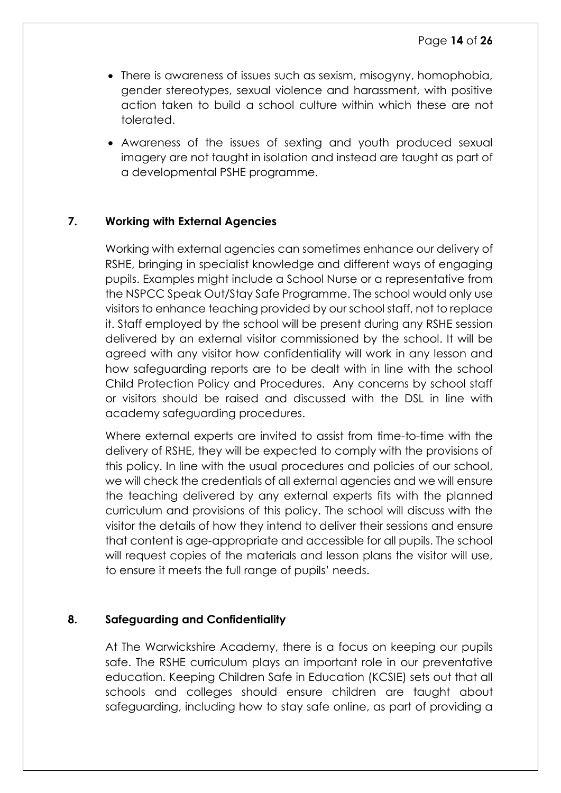- There is awareness of issues such as sexism, misogyny, homophobia, gender stereotypes, sexual violence and harassment, with positive action taken to build a school culture within which these are not tolerated.
- Awareness of the issues of sexting and youth produced sexual imagery are not taught in isolation and instead are taught as part of a developmental PSHE programme.

#### <span id="page-13-0"></span>**7. Working with External Agencies**

Working with external agencies can sometimes enhance our delivery of RSHE, bringing in specialist knowledge and different ways of engaging pupils. Examples might include a School Nurse or a representative from the NSPCC Speak Out/Stay Safe Programme. The school would only use visitors to enhance teaching provided by our school staff, not to replace it. Staff employed by the school will be present during any RSHE session delivered by an external visitor commissioned by the school. It will be agreed with any visitor how confidentiality will work in any lesson and how safeguarding reports are to be dealt with in line with the school Child Protection Policy and Procedures. Any concerns by school staff or visitors should be raised and discussed with the DSL in line with academy safeguarding procedures.

Where external experts are invited to assist from time-to-time with the delivery of RSHE, they will be expected to comply with the provisions of this policy. In line with the usual procedures and policies of our school, we will check the credentials of all external agencies and we will ensure the teaching delivered by any external experts fits with the planned curriculum and provisions of this policy. The school will discuss with the visitor the details of how they intend to deliver their sessions and ensure that content is age-appropriate and accessible for all pupils. The school will request copies of the materials and lesson plans the visitor will use, to ensure it meets the full range of pupils' needs.

#### <span id="page-13-1"></span>**8. Safeguarding and Confidentiality**

At The Warwickshire Academy, there is a focus on keeping our pupils safe. The RSHE curriculum plays an important role in our preventative education. Keeping Children Safe in Education (KCSIE) sets out that all schools and colleges should ensure children are taught about safeguarding, including how to stay safe online, as part of providing a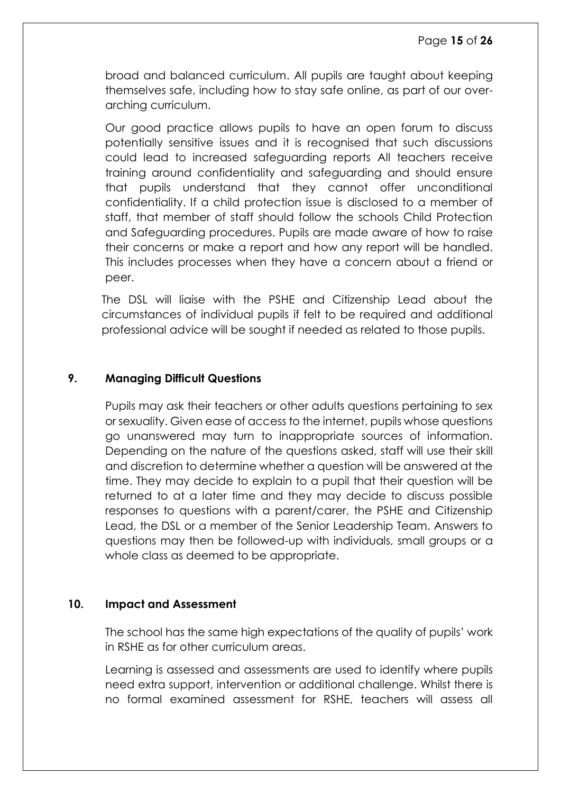broad and balanced curriculum. All pupils are taught about keeping themselves safe, including how to stay safe online, as part of our overarching curriculum.

Our good practice allows pupils to have an open forum to discuss potentially sensitive issues and it is recognised that such discussions could lead to increased safeguarding reports All teachers receive training around confidentiality and safeguarding and should ensure that pupils understand that they cannot offer unconditional confidentiality. If a child protection issue is disclosed to a member of staff, that member of staff should follow the schools Child Protection and Safeguarding procedures. Pupils are made aware of how to raise their concerns or make a report and how any report will be handled. This includes processes when they have a concern about a friend or peer.

The DSL will liaise with the PSHE and Citizenship Lead about the circumstances of individual pupils if felt to be required and additional professional advice will be sought if needed as related to those pupils.

#### <span id="page-14-0"></span>**9. Managing Difficult Questions**

Pupils may ask their teachers or other adults questions pertaining to sex or sexuality. Given ease of access to the internet, pupils whose questions go unanswered may turn to inappropriate sources of information. Depending on the nature of the questions asked, staff will use their skill and discretion to determine whether a question will be answered at the time. They may decide to explain to a pupil that their question will be returned to at a later time and they may decide to discuss possible responses to questions with a parent/carer, the PSHE and Citizenship Lead, the DSL or a member of the Senior Leadership Team. Answers to questions may then be followed-up with individuals, small groups or a whole class as deemed to be appropriate.

#### <span id="page-14-1"></span>**10. Impact and Assessment**

The school has the same high expectations of the quality of pupils' work in RSHE as for other curriculum areas.

Learning is assessed and assessments are used to identify where pupils need extra support, intervention or additional challenge. Whilst there is no formal examined assessment for RSHE, teachers will assess all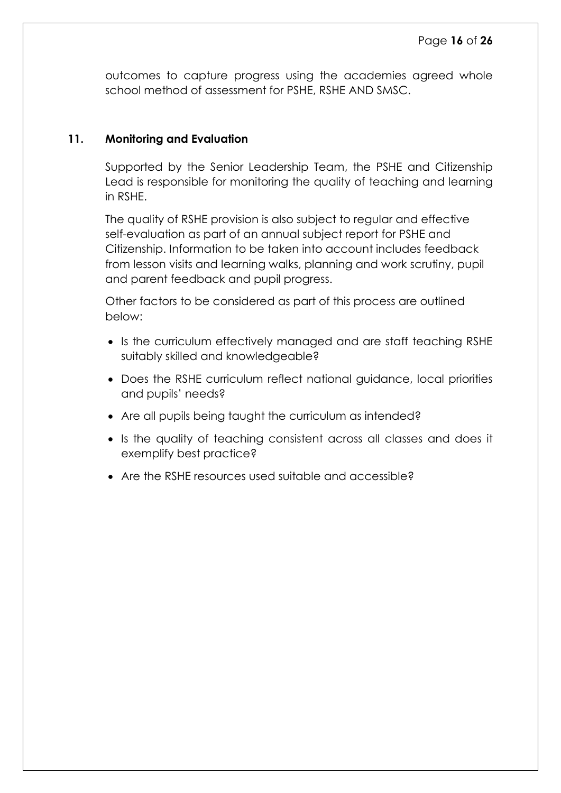outcomes to capture progress using the academies agreed whole school method of assessment for PSHE, RSHE AND SMSC.

#### <span id="page-15-0"></span>**11. Monitoring and Evaluation**

Supported by the Senior Leadership Team, the PSHE and Citizenship Lead is responsible for monitoring the quality of teaching and learning in RSHE.

The quality of RSHE provision is also subject to regular and effective self-evaluation as part of an annual subject report for PSHE and Citizenship. Information to be taken into account includes feedback from lesson visits and learning walks, planning and work scrutiny, pupil and parent feedback and pupil progress.

Other factors to be considered as part of this process are outlined below:

- Is the curriculum effectively managed and are staff teaching RSHE suitably skilled and knowledgeable?
- Does the RSHE curriculum reflect national guidance, local priorities and pupils' needs?
- Are all pupils being taught the curriculum as intended?
- Is the quality of teaching consistent across all classes and does it exemplify best practice?
- Are the RSHE resources used suitable and accessible?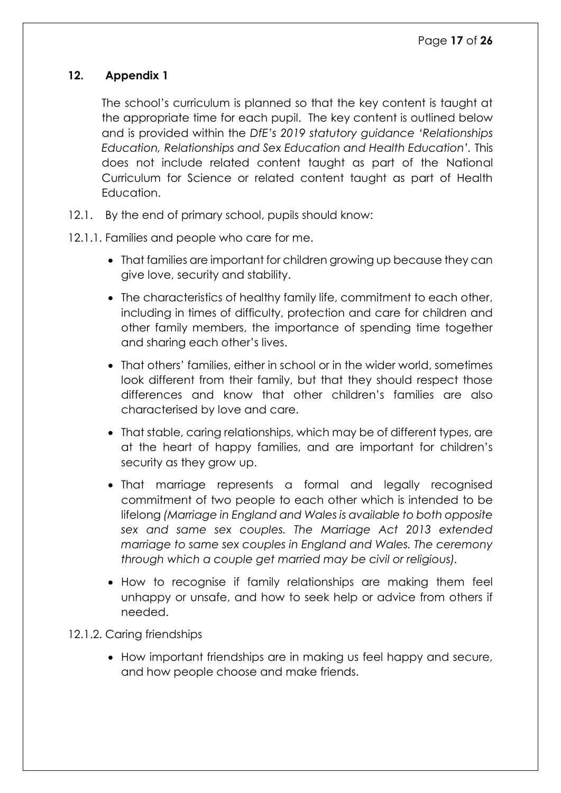#### <span id="page-16-0"></span>**12. Appendix 1**

The school's curriculum is planned so that the key content is taught at the appropriate time for each pupil. The key content is outlined below and is provided within the *DfE's 2019 statutory guidance 'Relationships Education, Relationships and Sex Education and Health Education'.* This does not include related content taught as part of the National Curriculum for Science or related content taught as part of Health Education.

- 12.1. By the end of primary school, pupils should know:
- 12.1.1. Families and people who care for me.
	- That families are important for children growing up because they can give love, security and stability.
	- The characteristics of healthy family life, commitment to each other, including in times of difficulty, protection and care for children and other family members, the importance of spending time together and sharing each other's lives.
	- That others' families, either in school or in the wider world, sometimes look different from their family, but that they should respect those differences and know that other children's families are also characterised by love and care.
	- That stable, caring relationships, which may be of different types, are at the heart of happy families, and are important for children's security as they grow up.
	- That marriage represents a formal and legally recognised commitment of two people to each other which is intended to be lifelong *(Marriage in England and Wales is available to both opposite sex and same sex couples. The Marriage Act 2013 extended marriage to same sex couples in England and Wales. The ceremony through which a couple get married may be civil or religious).*
	- How to recognise if family relationships are making them feel unhappy or unsafe, and how to seek help or advice from others if needed.

#### 12.1.2. Caring friendships

• How important friendships are in making us feel happy and secure, and how people choose and make friends.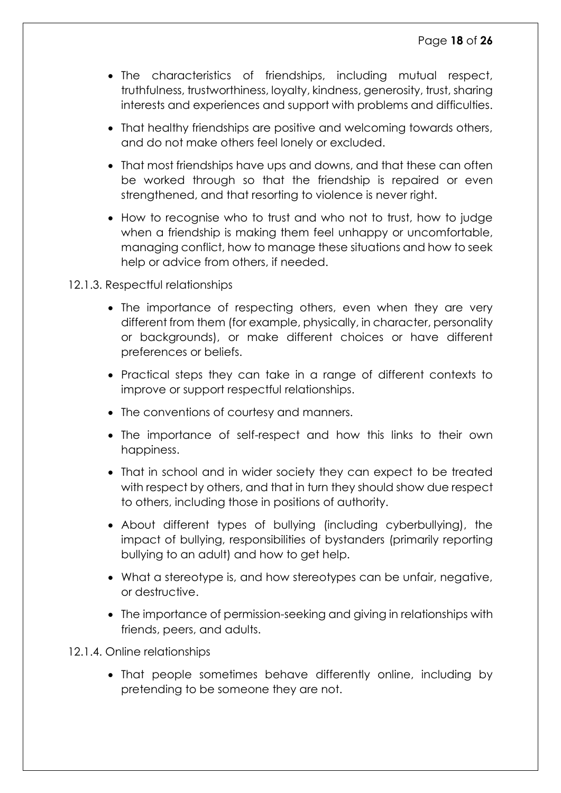- The characteristics of friendships, including mutual respect, truthfulness, trustworthiness, loyalty, kindness, generosity, trust, sharing interests and experiences and support with problems and difficulties.
- That healthy friendships are positive and welcoming towards others, and do not make others feel lonely or excluded.
- That most friendships have ups and downs, and that these can often be worked through so that the friendship is repaired or even strengthened, and that resorting to violence is never right.
- How to recognise who to trust and who not to trust, how to judge when a friendship is making them feel unhappy or uncomfortable, managing conflict, how to manage these situations and how to seek help or advice from others, if needed.
- 12.1.3. Respectful relationships
	- The importance of respecting others, even when they are very different from them (for example, physically, in character, personality or backgrounds), or make different choices or have different preferences or beliefs.
	- Practical steps they can take in a range of different contexts to improve or support respectful relationships.
	- The conventions of courtesy and manners.
	- The importance of self-respect and how this links to their own happiness.
	- That in school and in wider society they can expect to be treated with respect by others, and that in turn they should show due respect to others, including those in positions of authority.
	- About different types of bullying (including cyberbullying), the impact of bullying, responsibilities of bystanders (primarily reporting bullying to an adult) and how to get help.
	- What a stereotype is, and how stereotypes can be unfair, negative, or destructive.
	- The importance of permission-seeking and giving in relationships with friends, peers, and adults.

12.1.4. Online relationships

• That people sometimes behave differently online, including by pretending to be someone they are not.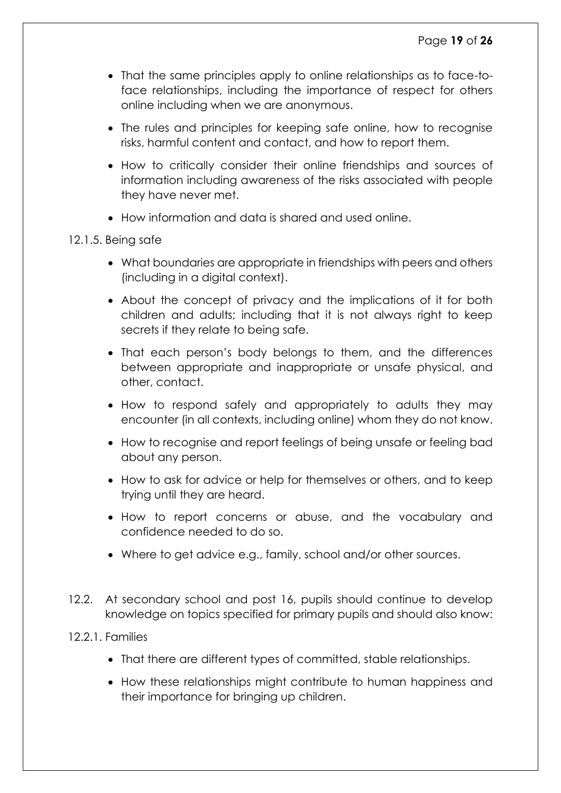- That the same principles apply to online relationships as to face-toface relationships, including the importance of respect for others online including when we are anonymous.
- The rules and principles for keeping safe online, how to recognise risks, harmful content and contact, and how to report them.
- How to critically consider their online friendships and sources of information including awareness of the risks associated with people they have never met.
- How information and data is shared and used online.

12.1.5. Being safe

- What boundaries are appropriate in friendships with peers and others (including in a digital context).
- About the concept of privacy and the implications of it for both children and adults; including that it is not always right to keep secrets if they relate to being safe.
- That each person's body belongs to them, and the differences between appropriate and inappropriate or unsafe physical, and other, contact.
- How to respond safely and appropriately to adults they may encounter (in all contexts, including online) whom they do not know.
- How to recognise and report feelings of being unsafe or feeling bad about any person.
- How to ask for advice or help for themselves or others, and to keep trying until they are heard.
- How to report concerns or abuse, and the vocabulary and confidence needed to do so.
- Where to get advice e.g., family, school and/or other sources.
- 12.2. At secondary school and post 16, pupils should continue to develop knowledge on topics specified for primary pupils and should also know:

#### 12.2.1. Families

- That there are different types of committed, stable relationships.
- How these relationships might contribute to human happiness and their importance for bringing up children.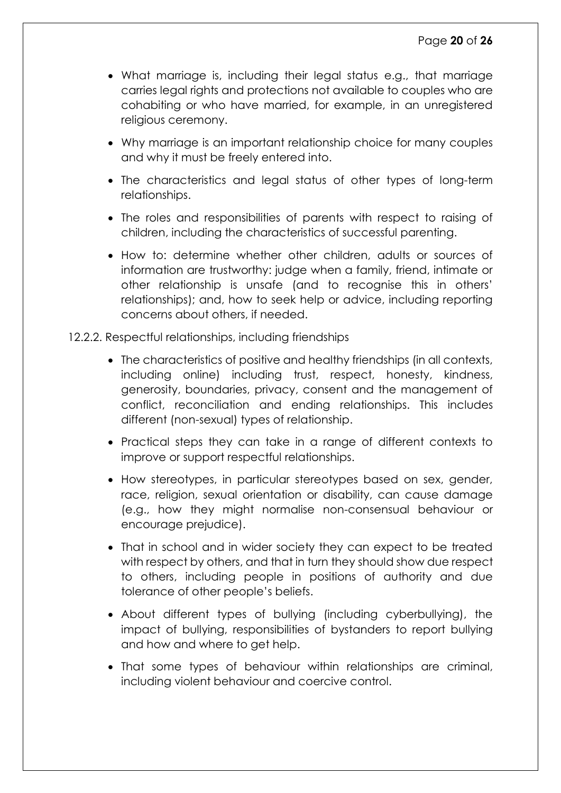- What marriage is, including their legal status e.g., that marriage carries legal rights and protections not available to couples who are cohabiting or who have married, for example, in an unregistered religious ceremony.
- Why marriage is an important relationship choice for many couples and why it must be freely entered into.
- The characteristics and legal status of other types of long-term relationships.
- The roles and responsibilities of parents with respect to raising of children, including the characteristics of successful parenting.
- How to: determine whether other children, adults or sources of information are trustworthy: judge when a family, friend, intimate or other relationship is unsafe (and to recognise this in others' relationships); and, how to seek help or advice, including reporting concerns about others, if needed.
- 12.2.2. Respectful relationships, including friendships
	- The characteristics of positive and healthy friendships (in all contexts, including online) including trust, respect, honesty, kindness, generosity, boundaries, privacy, consent and the management of conflict, reconciliation and ending relationships. This includes different (non-sexual) types of relationship.
	- Practical steps they can take in a range of different contexts to improve or support respectful relationships.
	- How stereotypes, in particular stereotypes based on sex, gender, race, religion, sexual orientation or disability, can cause damage (e.g., how they might normalise non-consensual behaviour or encourage prejudice).
	- That in school and in wider society they can expect to be treated with respect by others, and that in turn they should show due respect to others, including people in positions of authority and due tolerance of other people's beliefs.
	- About different types of bullying (including cyberbullying), the impact of bullying, responsibilities of bystanders to report bullying and how and where to get help.
	- That some types of behaviour within relationships are criminal, including violent behaviour and coercive control.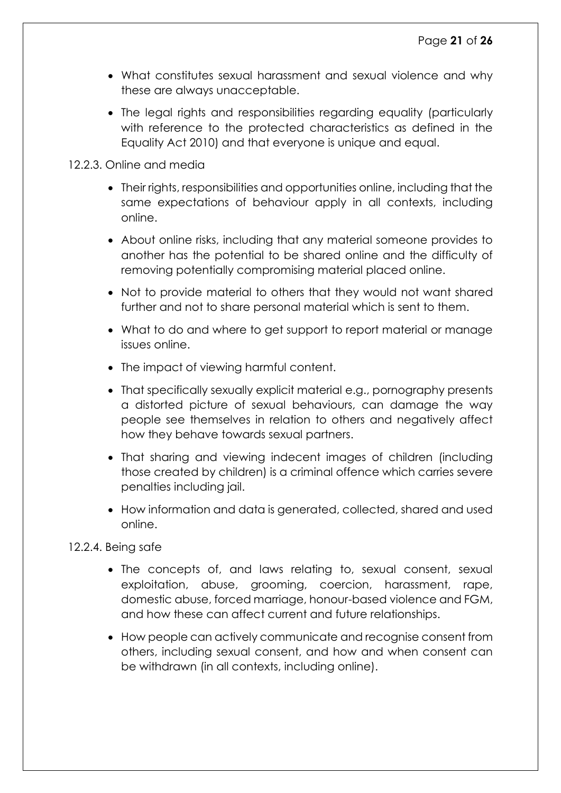- What constitutes sexual harassment and sexual violence and why these are always unacceptable.
- The legal rights and responsibilities regarding equality (particularly with reference to the protected characteristics as defined in the Equality Act 2010) and that everyone is unique and equal.
- 12.2.3. Online and media
	- Their rights, responsibilities and opportunities online, including that the same expectations of behaviour apply in all contexts, including online.
	- About online risks, including that any material someone provides to another has the potential to be shared online and the difficulty of removing potentially compromising material placed online.
	- Not to provide material to others that they would not want shared further and not to share personal material which is sent to them.
	- What to do and where to get support to report material or manage issues online.
	- The impact of viewing harmful content.
	- That specifically sexually explicit material e.g., pornography presents a distorted picture of sexual behaviours, can damage the way people see themselves in relation to others and negatively affect how they behave towards sexual partners.
	- That sharing and viewing indecent images of children (including those created by children) is a criminal offence which carries severe penalties including jail.
	- How information and data is generated, collected, shared and used online.

12.2.4. Being safe

- The concepts of, and laws relating to, sexual consent, sexual exploitation, abuse, grooming, coercion, harassment, rape, domestic abuse, forced marriage, honour-based violence and FGM, and how these can affect current and future relationships.
- How people can actively communicate and recognise consent from others, including sexual consent, and how and when consent can be withdrawn (in all contexts, including online).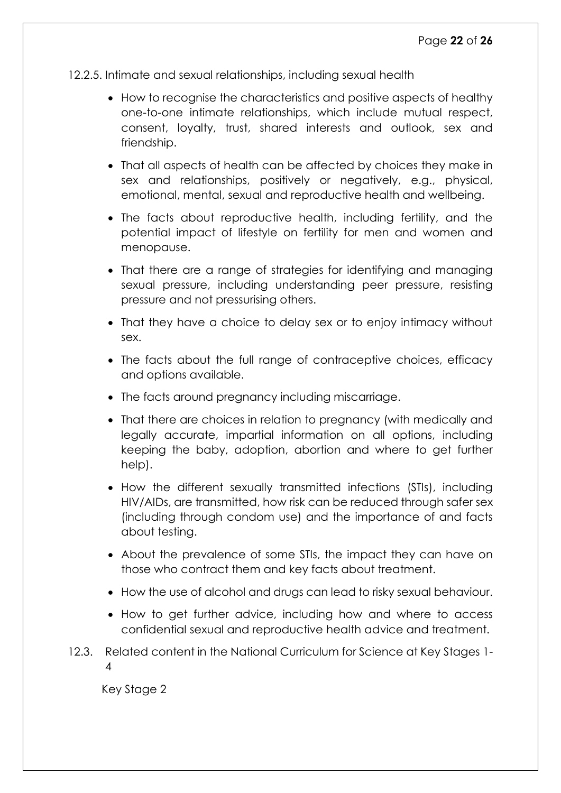- 12.2.5. Intimate and sexual relationships, including sexual health
	- How to recognise the characteristics and positive aspects of healthy one-to-one intimate relationships, which include mutual respect, consent, loyalty, trust, shared interests and outlook, sex and friendship.
	- That all aspects of health can be affected by choices they make in sex and relationships, positively or negatively, e.g., physical, emotional, mental, sexual and reproductive health and wellbeing.
	- The facts about reproductive health, including fertility, and the potential impact of lifestyle on fertility for men and women and menopause.
	- That there are a range of strategies for identifying and managing sexual pressure, including understanding peer pressure, resisting pressure and not pressurising others.
	- That they have a choice to delay sex or to enjoy intimacy without sex.
	- The facts about the full range of contraceptive choices, efficacy and options available.
	- The facts around pregnancy including miscarriage.
	- That there are choices in relation to pregnancy (with medically and legally accurate, impartial information on all options, including keeping the baby, adoption, abortion and where to get further help).
	- How the different sexually transmitted infections (STIs), including HIV/AIDs, are transmitted, how risk can be reduced through safer sex (including through condom use) and the importance of and facts about testing.
	- About the prevalence of some STIs, the impact they can have on those who contract them and key facts about treatment.
	- How the use of alcohol and drugs can lead to risky sexual behaviour.
	- How to get further advice, including how and where to access confidential sexual and reproductive health advice and treatment.
- 12.3. Related content in the National Curriculum for Science at Key Stages 1- 4

Key Stage 2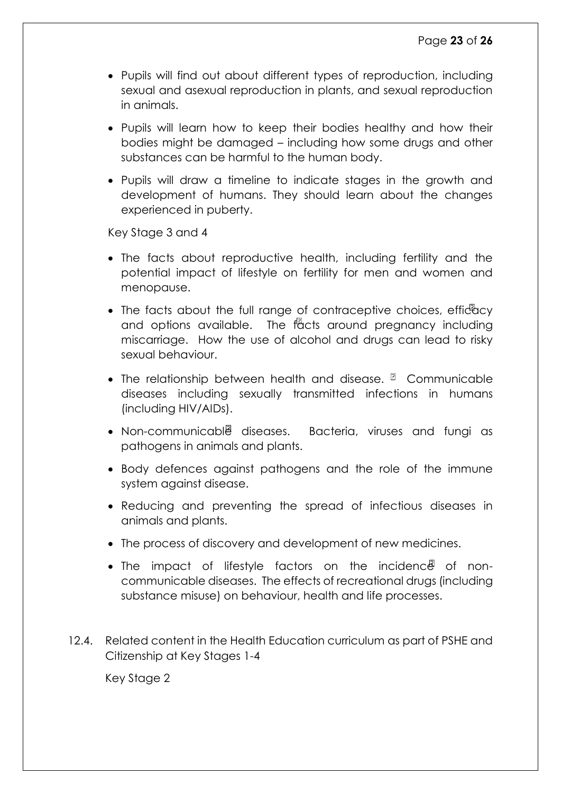- Pupils will find out about different types of reproduction, including sexual and asexual reproduction in plants, and sexual reproduction in animals.
- Pupils will learn how to keep their bodies healthy and how their bodies might be damaged – including how some drugs and other substances can be harmful to the human body.
- Pupils will draw a timeline to indicate stages in the growth and development of humans. They should learn about the changes experienced in puberty.

Key Stage 3 and 4

- The facts about reproductive health, including fertility and the potential impact of lifestyle on fertility for men and women and menopause.
- $\bullet$  The facts about the full range of contraceptive choices, efficacy and options available. The facts around pregnancy including miscarriage. How the use of alcohol and drugs can lead to risky sexual behaviour.
- The relationship between health and disease.  $\mathbb{B}$  Communicable diseases including sexually transmitted infections in humans (including HIV/AIDs).
- Non-communicable diseases. Bacteria, viruses and fungi as pathogens in animals and plants.
- Body defences against pathogens and the role of the immune system against disease.
- Reducing and preventing the spread of infectious diseases in animals and plants.
- The process of discovery and development of new medicines.
- $\bullet$  The impact of lifestyle factors on the incidence of noncommunicable diseases. The effects of recreational drugs (including substance misuse) on behaviour, health and life processes.
- 12.4. Related content in the Health Education curriculum as part of PSHE and Citizenship at Key Stages 1-4

Key Stage 2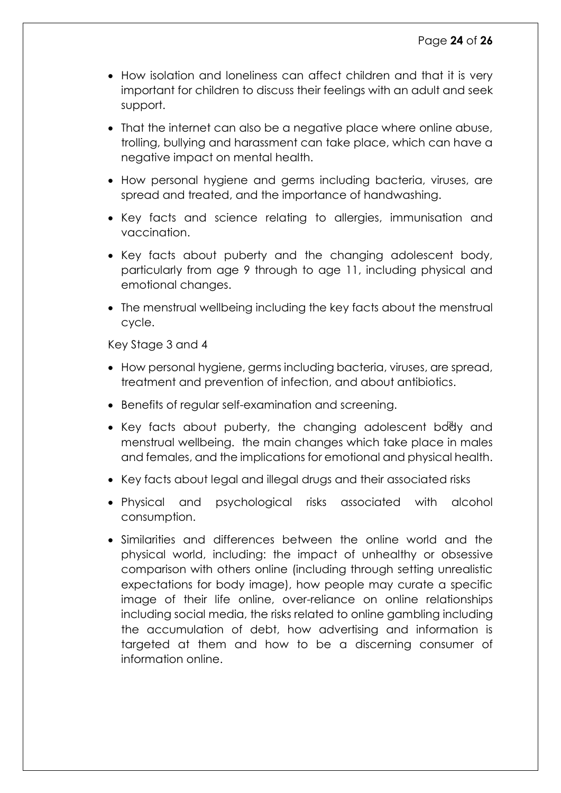- How isolation and loneliness can affect children and that it is very important for children to discuss their feelings with an adult and seek support.
- That the internet can also be a negative place where online abuse, trolling, bullying and harassment can take place, which can have a negative impact on mental health.
- How personal hygiene and germs including bacteria, viruses, are spread and treated, and the importance of handwashing.
- Key facts and science relating to allergies, immunisation and vaccination.
- Key facts about puberty and the changing adolescent body, particularly from age 9 through to age 11, including physical and emotional changes.
- The menstrual wellbeing including the key facts about the menstrual cycle.

Key Stage 3 and 4

- How personal hygiene, germs including bacteria, viruses, are spread, treatment and prevention of infection, and about antibiotics.
- Benefits of regular self-examination and screening.
- $\bullet$  Key facts about puberty, the changing adolescent body and menstrual wellbeing. the main changes which take place in males and females, and the implications for emotional and physical health.
- Key facts about legal and illegal drugs and their associated risks
- Physical and psychological risks associated with alcohol consumption.
- Similarities and differences between the online world and the physical world, including: the impact of unhealthy or obsessive comparison with others online (including through setting unrealistic expectations for body image), how people may curate a specific image of their life online, over-reliance on online relationships including social media, the risks related to online gambling including the accumulation of debt, how advertising and information is targeted at them and how to be a discerning consumer of information online.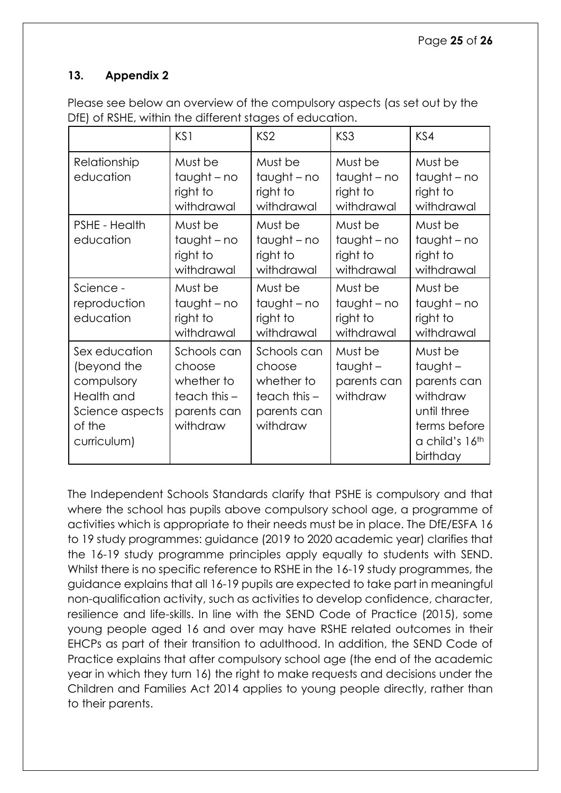#### <span id="page-24-0"></span>**13. Appendix 2**

Please see below an overview of the compulsory aspects (as set out by the DfE) of RSHE, within the different stages of education.

|                                                                                                      | KS1                                                                              | KS <sub>2</sub>                                                                  | KS3                                                 | KS4                                                                                                            |
|------------------------------------------------------------------------------------------------------|----------------------------------------------------------------------------------|----------------------------------------------------------------------------------|-----------------------------------------------------|----------------------------------------------------------------------------------------------------------------|
| Relationship<br>education                                                                            | Must be<br>taught – no<br>right to<br>withdrawal                                 | Must be<br>taught – no<br>right to<br>withdrawal                                 | Must be<br>taught – no<br>right to<br>withdrawal    | Must be<br>taught – no<br>right to<br>withdrawal                                                               |
| <b>PSHE - Health</b><br>education                                                                    | Must be<br>taught – no<br>right to<br>withdrawal                                 | Must be<br>taught – no<br>right to<br>withdrawal                                 | Must be<br>taught - no<br>right to<br>withdrawal    | Must be<br>taught - no<br>right to<br>withdrawal                                                               |
| Science -<br>reproduction<br>education                                                               | Must be<br>taught – no<br>right to<br>withdrawal                                 | Must be<br>taught – no<br>right to<br>withdrawal                                 | Must be<br>taught – no<br>right to<br>withdrawal    | Must be<br>taught – no<br>right to<br>withdrawal                                                               |
| Sex education<br>(beyond the<br>compulsory<br>Health and<br>Science aspects<br>of the<br>curriculum) | Schools can<br>choose<br>whether to<br>$teach this -$<br>parents can<br>withdraw | Schools can<br>choose<br>whether to<br>$teach this -$<br>parents can<br>withdraw | Must be<br>$t$ aught $-$<br>parents can<br>withdraw | Must be<br>$t$ aught –<br>parents can<br>withdraw<br>until three<br>terms before<br>a child's 16th<br>birthday |

The Independent Schools Standards clarify that PSHE is compulsory and that where the school has pupils above compulsory school age, a programme of activities which is appropriate to their needs must be in place. The DfE/ESFA 16 to 19 study programmes: guidance (2019 to 2020 academic year) clarifies that the 16-19 study programme principles apply equally to students with SEND. Whilst there is no specific reference to RSHE in the 16-19 study programmes, the guidance explains that all 16-19 pupils are expected to take part in meaningful non-qualification activity, such as activities to develop confidence, character, resilience and life-skills. In line with the SEND Code of Practice (2015), some young people aged 16 and over may have RSHE related outcomes in their EHCPs as part of their transition to adulthood. In addition, the SEND Code of Practice explains that after compulsory school age (the end of the academic year in which they turn 16) the right to make requests and decisions under the Children and Families Act 2014 applies to young people directly, rather than to their parents.